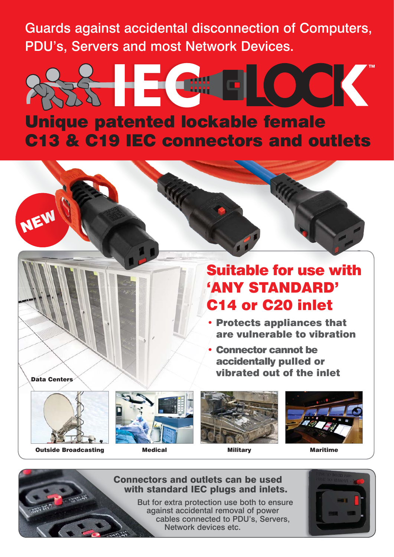Guards against accidental disconnection of Computers, PDU's, Servers and most Network Devices.

## CK HE COM Unique patented lockable female C13 & C19 IEC connectors and outlets

## Suitable for use with 'ANY STANDARD' C14 or C20 inlet

- Protects appliances that are vulnerable to vibration
- Connector cannot be accidentally pulled or vibrated out of the inlet



NEW



Outside Broadcasting Medical Military Maritime







### Connectors and outlets can be used with standard IEC plugs and inlets.

But for extra protection use both to ensure against accidental removal of power cables connected to PDU's, Servers, Network devices etc.